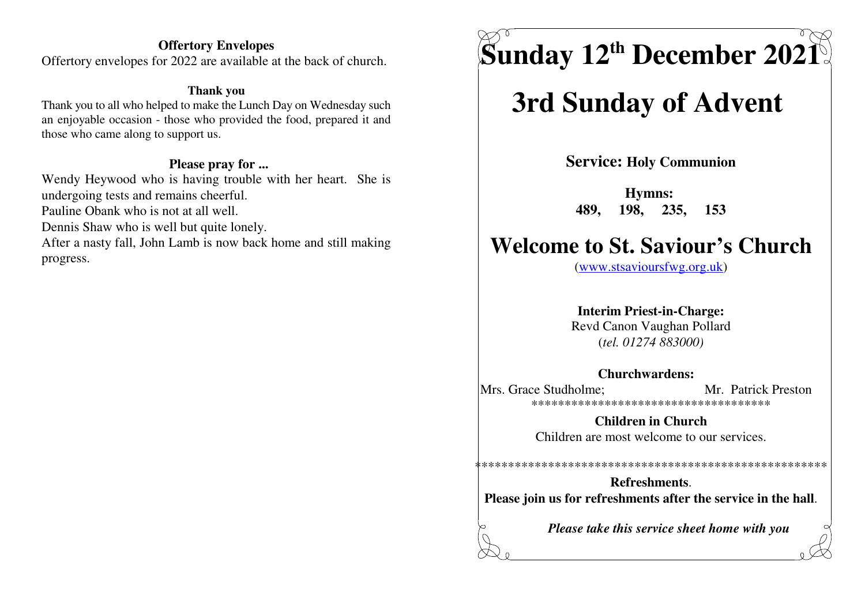#### **Offertory Envelopes**

Offertory envelopes for 2022 are available at the back of church.

#### **Thank you**

 Thank you to all who helped to make the Lunch Day on Wednesday such an enjoyable occasion - those who provided the food, prepared it andthose who came along to support us.

#### **Please pray for ...**

Wendy Heywood who is having trouble with her heart. She isundergoing tests and remains cheerful.

Pauline Obank who is not at all well.

Dennis Shaw who is well but quite lonely.

After a nasty fall, John Lamb is now back home and still makingprogress.

# $\boldsymbol{\mathrm{S}}$ unday 12<sup>th</sup> December 2021

## **3rd Sunday of Advent**

**Service: Holy Communion**

**Hymns: 489, 198, 235, 153**

### **Welcome to St. Saviour's Church**

(www.stsavioursfwg.org.uk)

### **Interim Priest-in-Charge:**

 Revd Canon Vaughan Pollard(*tel. 01274 883000)*

#### **Churchwardens:**

Mrs. Grace Studholme: Mr. Patrick Preston \*\*\*\*\*\*\*\*\*\*\*\*\*\*\*\*\*\*\*\*\*\*\*\*\*\*\*\*\*\*\*\*\*\*\*\*

> **Children in Church**Children are most welcome to our services.

**Refreshments**.**Please join us for refreshments after the service in the hall**.

\*\*\*\*\*\*\*\*\*\*\*\*\*\*\*\*\*\*\*\*\*\*\*\*\*\*\*\*\*\*\*\*\*\*\*\*\*\*\*\*\*\*\*\*\*\*\*\*\*\*\*\*\*

*Please take this service sheet home with you*